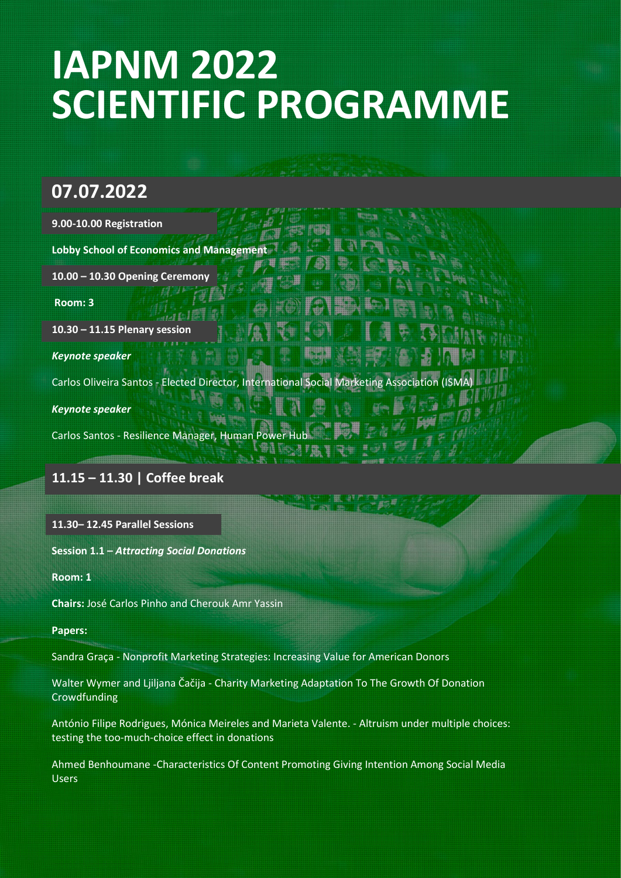# **IAPNM 2022 SCIENTIFIC PROGRAMME**

# **07.07.2022**

| 9.00-10.00 Registration                                                                     |  |
|---------------------------------------------------------------------------------------------|--|
| <b>Lobby School of Economics and Management</b>                                             |  |
| 10.00 - 10.30 Opening Ceremony                                                              |  |
| Room: 3                                                                                     |  |
| $10.30 - 11.15$ Plenary session                                                             |  |
| <b>Keynote speaker</b>                                                                      |  |
| Carlos Oliveira Santos - Elected Director, International Social Marketing Association (ISMA |  |
| <b>Keynote speaker</b>                                                                      |  |
| Carlos Santos - Resilience Manager, Human Power Hub                                         |  |

# **11.15 – 11.30 | Coffee break**

#### **11.30– 12.45 Parallel Sessions**

**Session 1.1 –** *Attracting Social Donations*

**Room: 1**

**Chairs:** José Carlos Pinho and Cherouk Amr Yassin

#### **Papers:**

[Sandra Graç](https://www.eckerd.edu/international-business/faculty/graca/)a - Nonprofit Marketing Strategies: Increasing Value for American Donors

Walter Wymer and Ljiljana Čačija - Charity Marketing Adaptation To The Growth Of Donation Crowdfunding

António Filipe Rodrigues, Mónica Meireles and Marieta Valente. - Altruism under multiple choices: testing the too-much-choice effect in donations

Ahmed Benhoumane -Characteristics Of Content Promoting Giving Intention Among Social Media Users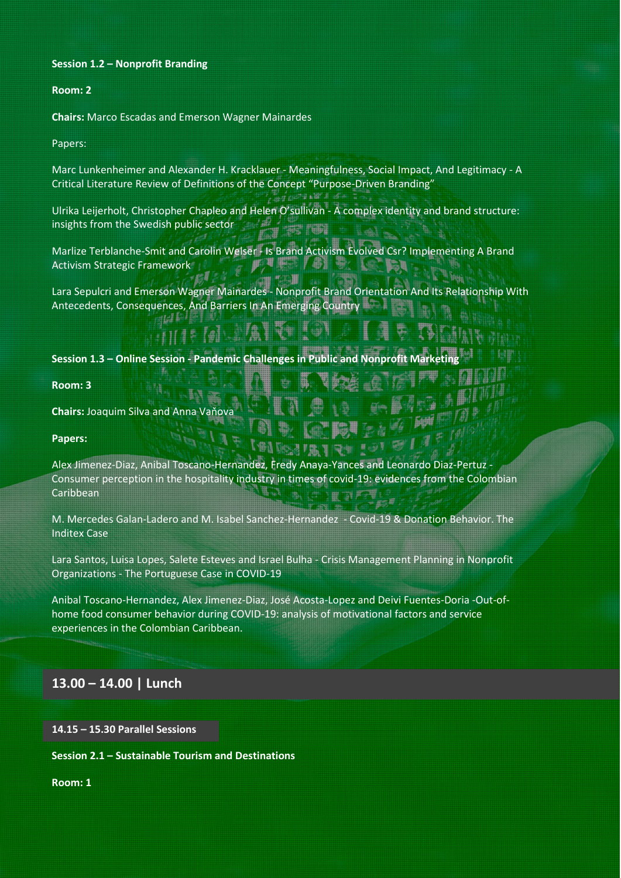#### **Session 1.2 – Nonprofit Branding**

#### **Room: 2**

**Chairs:** Marco Escadas and Emerson Wagner Mainardes

Papers:

Marc Lunkenheimer and Alexander H. Kracklauer - Meaningfulness, Social Impact, And Legitimacy - A Critical Literature Review of Definitions of the Concept "Purpose-Driven Branding"

は玉銀行

Ulrika Leijerholt, Christopher Chapleo and Helen O'sullivan - A complex identity and brand structure: insights from the Swedish public sector

Marlize Terblanche-Smit and Carolin Welser - Is Brand Activism Evolved Csr? Implementing A Brand Activism Strategic Framework 电最高 伊 冊 ■ 九二里

Lara Sepulcri and Emerson Wagner Mainardes - Nonprofit Brand Orientation And Its Relationship With Antecedents, Consequences, And Barriers In An Emerging Country

# $\mathbb{H} \mathbb{H}$  if  $\mathbb{G}$  is the set

**Session 1.3 - Online Session - Pandemic Challenges in Public and Nonprofit Marketi** 

**Room: 3** 

**Chairs:** Joaquim Silva and Anna Vaňova

**Papers:** 

Alex Jimenez-Diaz, Anibal Toscano-Hernandez, Fredy Anaya-Yances and Leonardo Diaz-Pertuz - Consumer perception in the hospitality industry in times of covid-19: evidences from the Colombian Caribbean

M. Mercedes Galan-Ladero and M. Isabel Sanchez-Hernandez - Covid-19 & Donation Behavior. The Inditex Case

Lara Santos, Luisa Lopes, Salete Esteves and Israel Bulha - Crisis Management Planning in Nonprofit Organizations - The Portuguese Case in COVID-19

Anibal Toscano-Hernandez, Alex Jimenez-Diaz, José Acosta-Lopez and Deivi Fuentes-Doria -Out-ofhome food consumer behavior during COVID-19: analysis of motivational factors and service experiences in the Colombian Caribbean.

#### **13.00 – 14.00 | Lunch**

**14.15 – 15.30 Parallel Sessions** 

**Session 2.1 – Sustainable Tourism and Destinations**

**Room: 1**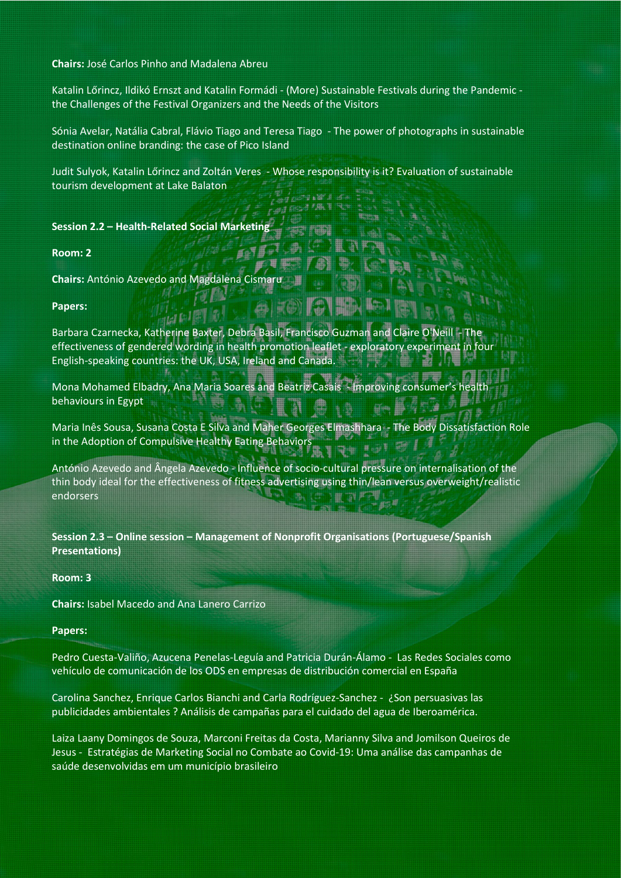**Chairs:** José Carlos Pinho and Madalena Abreu

Katalin Lőrincz, Ildikó Ernszt and Katalin Formádi - (More) Sustainable Festivals during the Pandemic the Challenges of the Festival Organizers and the Needs of the Visitors

Sónia Avelar, Natália Cabral, Flávio Tiago and Teresa Tiago - The power of photographs in sustainable destination online branding: the case of Pico Island

Judit Sulyok, Katalin Lőrincz and Zoltán Veres - Whose responsibility is it? Evaluation of sustainable tourism development at Lake Balaton

 $-10<1$ 

**Session 2.2 – Health-Related Social Marketing**

**Room: 2**

**Chairs:** António Azevedo and Magdalena Cismaru

#### **Papers:**

Barbara Czarnecka, Katherine Baxter, Debra Basil, Francisco Guzman and Claire O'Neill effectiveness of gendered wording in health promotion leaflet - exploratory experiment in four English-speaking countries: the UK, USA, Ireland and Canada.

Mona Mohamed Elbadry, Ana Maria Soares and Beatriz Casais - Improving consumer's behaviours in Egypt

Maria Inês Sousa, Susana Costa E Silva and Maher Georges Elmashhara - The Body Dissatisfaction Role in the Adoption of Compulsive Healthy Eating Behaviors

António Azevedo and Ângela Azevedo - Influence of socio-cultural pressure on internalisation of the thin body ideal for the effectiveness of fitness advertising using thin/lean versus overweight/realistic endorsers

**Session 2.3 – Online session – Management of Nonprofit Organisations (Portuguese/Spanish Presentations)**

#### **Room: 3**

**Chairs:** Isabel Macedo and Ana Lanero Carrizo

#### **Papers:**

Pedro Cuesta-Valiño, Azucena Penelas-Leguía and Patricia Durán-Álamo - Las Redes Sociales como vehículo de comunicación de los ODS en empresas de distribución comercial en España

Carolina Sanchez, Enrique Carlos Bianchi and Carla Rodríguez-Sanchez - ¿Son persuasivas las publicidades ambientales ? Análisis de campañas para el cuidado del agua de Iberoamérica.

Laiza Laany Domingos de Souza, Marconi Freitas da Costa, Marianny Silva and Jomilson Queiros de Jesus - Estratégias de Marketing Social no Combate ao Covid-19: Uma análise das campanhas de saúde desenvolvidas em um município brasileiro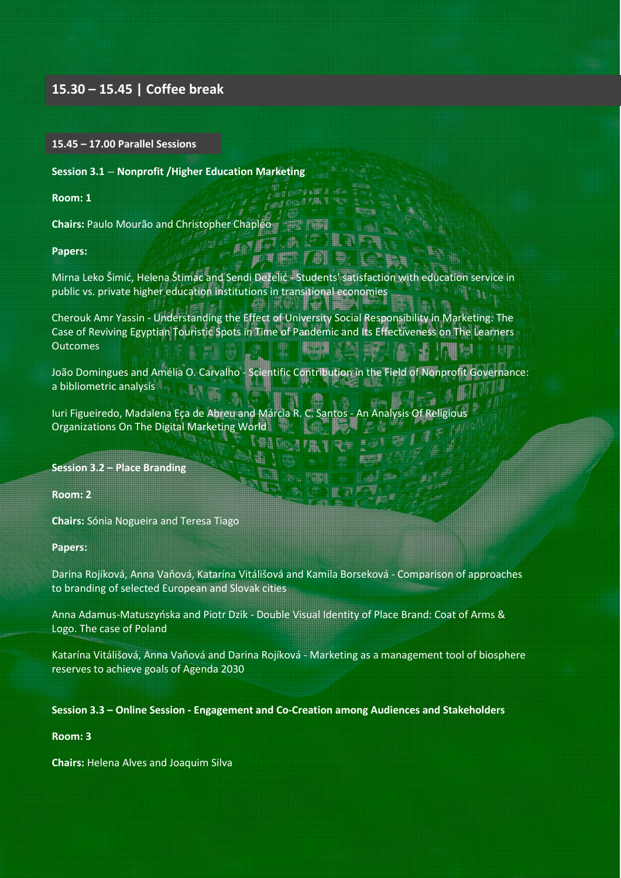#### **15.30 – 15.45 | Coffee break**

#### **15.45 – 17.00 Parallel Sessions**

**Session 3.1 – Nonprofit /Higher Education Marketing**

**Room: 1**

**Chairs:** Paulo Mourão and Christopher Chapleo

**Papers:**

Mirna Leko Šimić, Helena Štimac and Sendi Deželić - Students' satisfaction with education service in public vs. private higher education institutions in transitional economies

ia Lavia

**H** she

**H** 

**Tiltia** 

Cherouk Amr Yassin - Understanding the Effect of University Social Responsibility in Marketing: The Case of Reviving Egyptian Touristic Spots in Time of Pandemic and Its Effectiveness on The Learners **Outcomes** 同期

João Domingues and Amélia O. Carvalho - [Scientific Contribution in the Field of Nonprofit Governance:](https://easychair.org/conferences/submission_reviews?a=27541115;submission=5929759)  [a bibliometric analysis](https://easychair.org/conferences/submission_reviews?a=27541115;submission=5929759)

Iuri Figueiredo, Madalena Eça de Abreu and Márcia R. C. Santos - An Analysis Of Religious Organizations On The Digital Marketing World

**Session 3.2 – Place Branding**

**Room: 2**

**Chairs:** Sónia Nogueira and Teresa Tiago

**Papers:**

Darina Rojíková, Anna Vaňová, Katarína Vitálišová and Kamila Borseková - [Comparison of approaches](https://easychair.org/conferences/submission_reviews?submission=5923504;a=27541115)  [to branding of selected European and Slovak cities](https://easychair.org/conferences/submission_reviews?submission=5923504;a=27541115)

Anna Adamus-Matuszyńska and Piotr Dzik - [Double Visual Identity of Place Brand: Coat of Arms &](https://easychair.org/conferences/submission_reviews?a=27541115;submission=5906627)  [Logo. The case of Poland](https://easychair.org/conferences/submission_reviews?a=27541115;submission=5906627)

Katarína Vitálišová, Anna Vaňová and Darina Rojíková - [Marketing as a management tool of biosphere](https://easychair.org/conferences/submission_reviews?a=27541115;submission=5927419)  [reserves to achieve goals of Agenda 2030](https://easychair.org/conferences/submission_reviews?a=27541115;submission=5927419)

#### **Session 3.3 – Online Session - Engagement and Co-Creation among Audiences and Stakeholders**

#### **Room: 3**

**Chairs:** Helena Alves and Joaquim Silva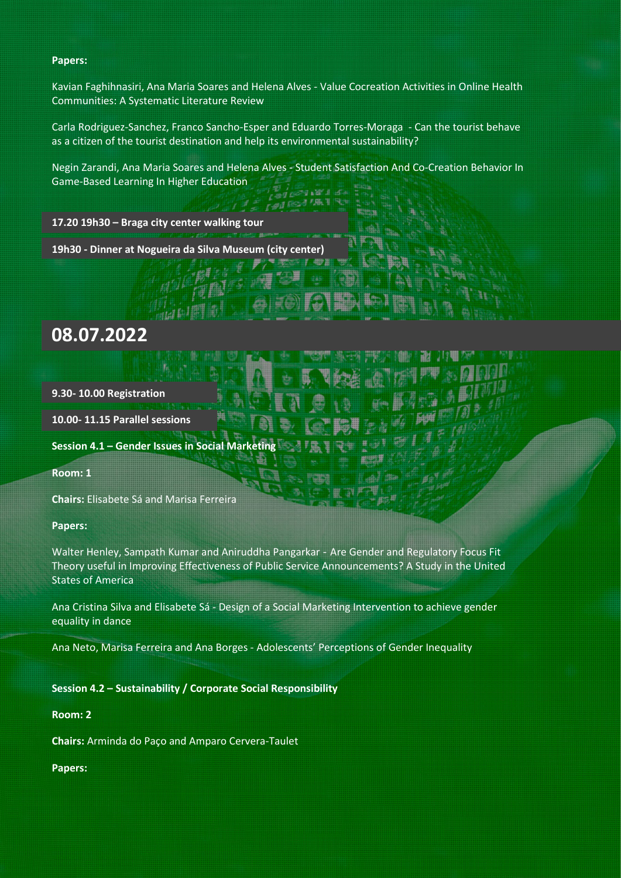#### **Papers:**

Kavian Faghihnasiri, Ana Maria Soares and Helena Alves - [Value Cocreation Activities in Online Health](https://easychair.org/conferences/submission_reviews?submission=5936747;a=27541115)  [Communities: A Systematic Literature Review](https://easychair.org/conferences/submission_reviews?submission=5936747;a=27541115)

Carla Rodriguez-Sanchez, Franco Sancho-Esper and Eduardo Torres-Moraga - Can the tourist behave as a citizen of the tourist destination and help its environmental sustainability?

Negin Zarandi, Ana Maria Soares and Helena Alves - Student Satisfaction And Co-Creation Behavior In Game-Based Learning In Higher Education

 $1 - 10^{2}$  d

郙

**17.20 19h30 – Braga city center walking tour**

**19h30 - Dinner at Nogueira da Silva Museum (city center)**

# **08.07.2022**

**9.30- 10.00 Registration**

**10.00- 11.15 Parallel sessions**

**Session 4.1 – Gender Issues in Social Marketing**

**Room: 1**

**Chairs:** Elisabete Sá and Marisa Ferreira

**Papers:**

Walter Henley, Sampath Kumar and Aniruddha Pangarkar - Are Gender and Regulatory Focus Fit Theory useful in Improving Effectiveness of Public Service Announcements? A Study in the United States of America

Ana Cristina Silva and Elisabete Sá - Design of a Social Marketing Intervention to achieve gender equality in dance

Ana Neto, Marisa Ferreira and Ana Borges - Adolescents' Perceptions of Gender Inequality

**Session 4.2 – Sustainability / Corporate Social Responsibility**

**Room: 2**

**Chairs:** Arminda do Paço and Amparo Cervera-Taulet

**Papers:**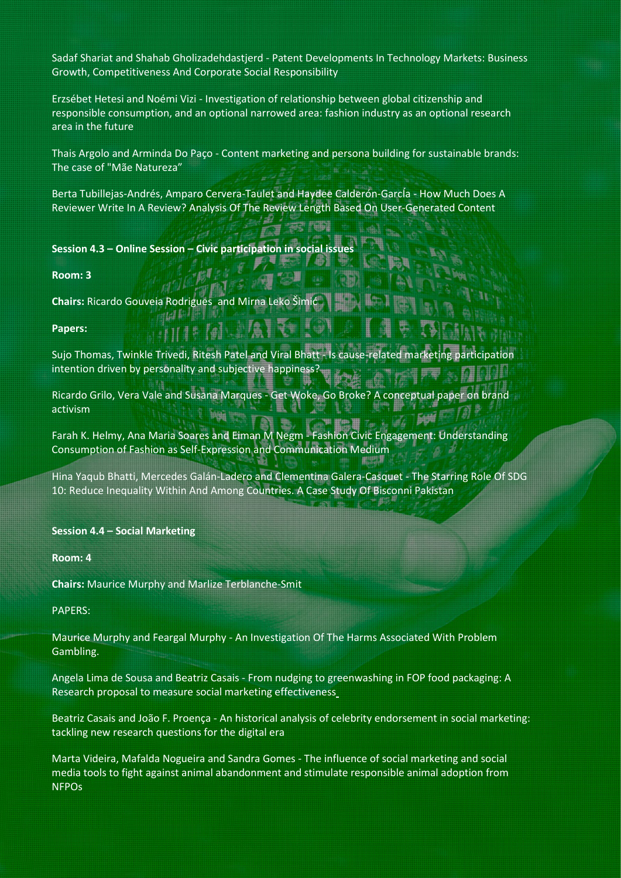Sadaf Shariat and Shahab Gholizadehdastjerd - Patent Developments In Technology Markets: Business Growth, Competitiveness And Corporate Social Responsibility

Erzsébet Hetesi and Noémi Vizi - Investigation of relationship between global citizenship and responsible consumption, and an optional narrowed area: fashion industry as an optional research area in the future

Thais Argolo and Arminda Do Paço - Content marketing and persona building for sustainable brands: The case of "Mãe Natureza"

Berta Tubillejas-Andrés, Amparo Cervera-Taulet and Haydee Calderón-GarcÍa - How Much Does A Reviewer Write In A Review? Analysis Of The Review Length Based On User-Generated Content

**Session 4.3 – Online Session – Civic participation in social issues**

**Room: 3**

**Chairs:** Ricardo Gouveia Rodrigues and Mirna Leko Šim

**Papers:**

Sujo Thomas, Twinkle Trivedi, Ritesh Patel and Viral Bhatt - Is cause-related marketing participation intention driven by personality and subjective happiness?

Ricardo Grilo, Vera Vale and Susana Marques - Get Woke, Go Broke? A conceptual paper on brand activism

Farah K. Helmy, Ana Maria Soares and Eiman M Negm - Fashion Civic Engagement: Understanding Consumption of Fashion as Self-Expression and Communication Medium

Hina Yaqub Bhatti, Mercedes Galán-Ladero and Clementina Galera-Casquet - The Starring Role Of SDG 10: Reduce Inequality Within And Among Countries. A Case Study Of Bisconni Pakistan

**Session 4.4 – Social Marketing**

**Room: 4**

**Chairs:** Maurice Murphy and Marlize Terblanche-Smit

PAPERS:

Maurice Murphy and Feargal Murphy - An Investigation Of The Harms Associated With Problem Gambling.

Angela Lima de Sousa and Beatriz Casais - From nudging to greenwashing in FOP food packaging: A Research proposal to measure social marketing effectivenes[s](https://easychair.org/conferences/submission_reviews?a=27541115;submission=5935720)

Beatriz Casais and João F. Proença - An historical analysis of celebrity endorsement in social marketing: tackling new research questions for the digital era

Marta Videira, Mafalda Nogueira and Sandra Gomes - The influence of social marketing and social media tools to fight against animal abandonment and stimulate responsible animal adoption from **NFPO<sub>S</sub>**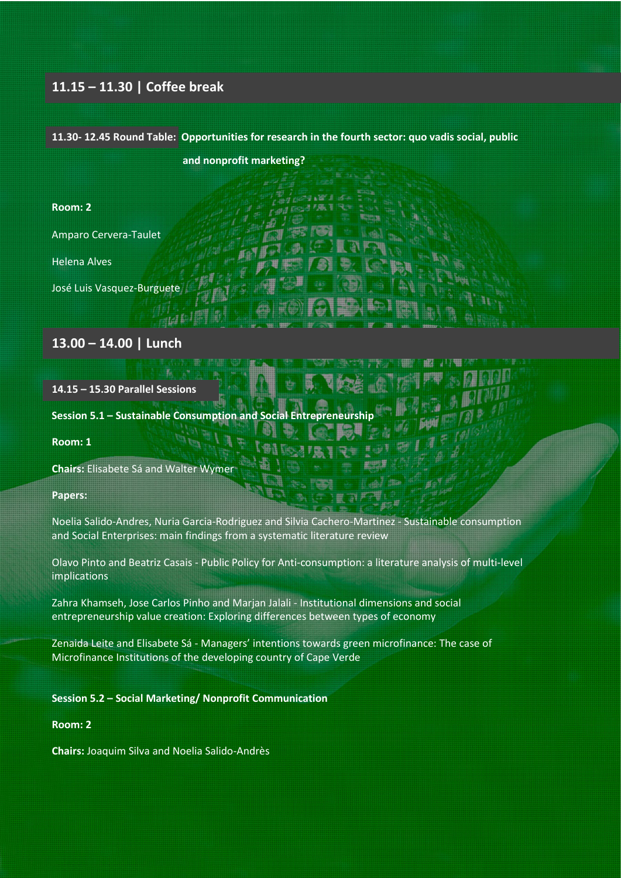### **11.15 – 11.30 | Coffee break**

# **11.30- 12.45 Round Table: Opportunities for research in the fourth sector: quo vadis social, public and nonprofit marketing?**

 $a = BC - B$ 

鄜

# **Room: 2**

Amparo Cervera-Taulet

Helena Alves

José Luis Vasquez-Burguete

#### **13.00 – 14.00 | Lunch**

ttď

**14.15 – 15.30 Parallel Sessions** 

**Session 5.1 – Sustainable Consumption and Social Entrepreneurship**

#### **Room: 1**

**Chairs:** Elisabete Sá and Walter Wymer

**Papers:**

Noelia Salido-Andres, Nuria Garcia-Rodriguez and Silvia Cachero-Martinez - Sustainable consumption and Social Enterprises: main findings from a systematic literature review

Olavo Pinto and Beatriz Casais - Public Policy for Anti-consumption: a literature analysis of multi-level implications

Zahra Khamseh, Jose Carlos Pinho and Marjan Jalali - Institutional dimensions and social entrepreneurship value creation: Exploring differences between types of economy

Zenaida Leite and Elisabete Sá - Managers' intentions towards green microfinance: The case of Microfinance Institutions of the developing country of Cape Verde

#### **Session 5.2 – Social Marketing/ Nonprofit Communication**

#### **Room: 2**

**Chairs:** Joaquim Silva and Noelia Salido-Andrès